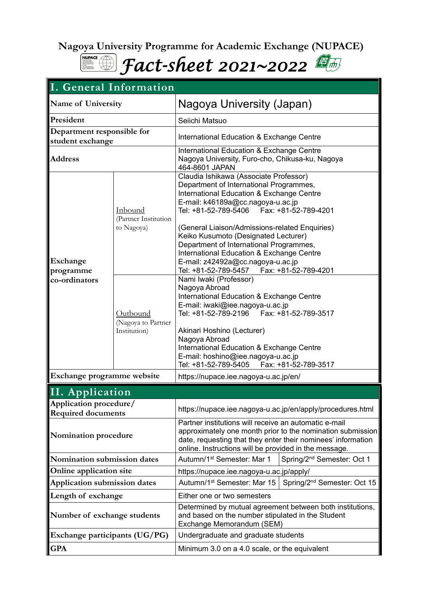**Nagoya University Programme for Academic Exchange (NUPACE)** 



| I. General Information                              |                                                |                                                                                                                                                                                                                                                                                                                                                                                                                                                                    |                                         |  |
|-----------------------------------------------------|------------------------------------------------|--------------------------------------------------------------------------------------------------------------------------------------------------------------------------------------------------------------------------------------------------------------------------------------------------------------------------------------------------------------------------------------------------------------------------------------------------------------------|-----------------------------------------|--|
| Name of University                                  |                                                | Nagoya University (Japan)                                                                                                                                                                                                                                                                                                                                                                                                                                          |                                         |  |
| President                                           |                                                | Seiichi Matsuo                                                                                                                                                                                                                                                                                                                                                                                                                                                     |                                         |  |
| Department responsible for<br>student exchange      |                                                | International Education & Exchange Centre                                                                                                                                                                                                                                                                                                                                                                                                                          |                                         |  |
| <b>Address</b>                                      |                                                | International Education & Exchange Centre<br>Nagoya University, Furo-cho, Chikusa-ku, Nagoya<br>464-8601 JAPAN                                                                                                                                                                                                                                                                                                                                                     |                                         |  |
| Exchange<br>programme<br>co-ordinators              | Inbound<br>(Partner Institution<br>to Nagoya)  | Claudia Ishikawa (Associate Professor)<br>Department of International Programmes,<br>International Education & Exchange Centre<br>E-mail: k46189a@cc.nagoya-u.ac.jp<br>Tel: +81-52-789-5406    Fax: +81-52-789-4201<br>(General Liaison/Admissions-related Enquiries)<br>Keiko Kusumoto (Designated Lecturer)<br>Department of International Programmes,<br>International Education & Exchange Centre<br>E-mail: z42492a@cc.nagoya-u.ac.jp<br>Tel: +81-52-789-5457 | Fax: +81-52-789-4201                    |  |
|                                                     | Outbound<br>(Nagoya to Partner<br>Institution) | Nami Iwaki (Professor)<br>Nagoya Abroad<br>International Education & Exchange Centre<br>E-mail: iwaki@iee.nagoya-u.ac.jp<br>Tel: +81-52-789-2196    Fax: +81-52-789-3517<br>Akinari Hoshino (Lecturer)<br>Nagoya Abroad<br>International Education & Exchange Centre<br>E-mail: hoshino@iee.nagoya-u.ac.jp<br>Tel: +81-52-789-5405    Fax: +81-52-789-3517                                                                                                         |                                         |  |
| Exchange programme website                          |                                                | https://nupace.iee.nagoya-u.ac.jp/en/                                                                                                                                                                                                                                                                                                                                                                                                                              |                                         |  |
| II. Application                                     |                                                |                                                                                                                                                                                                                                                                                                                                                                                                                                                                    |                                         |  |
| Application procedure/<br><b>Required documents</b> |                                                | https://nupace.iee.nagoya-u.ac.jp/en/apply/procedures.html                                                                                                                                                                                                                                                                                                                                                                                                         |                                         |  |
| Nomination procedure                                |                                                | Partner institutions will receive an automatic e-mail<br>approximately one month prior to the nomination submission<br>date, requesting that they enter their nominees' information<br>online. Instructions will be provided in the message.                                                                                                                                                                                                                       |                                         |  |
| Nomination submission dates                         |                                                | Autumn/1 <sup>st</sup> Semester: Mar 1                                                                                                                                                                                                                                                                                                                                                                                                                             | Spring/2 <sup>nd</sup> Semester: Oct 1  |  |
| Online application site                             |                                                | https://nupace.iee.nagoya-u.ac.jp/apply/                                                                                                                                                                                                                                                                                                                                                                                                                           |                                         |  |
| Application submission dates                        |                                                | Autumn/1 <sup>st</sup> Semester: Mar 15                                                                                                                                                                                                                                                                                                                                                                                                                            | Spring/2 <sup>nd</sup> Semester: Oct 15 |  |
| Length of exchange                                  |                                                | Either one or two semesters                                                                                                                                                                                                                                                                                                                                                                                                                                        |                                         |  |
| Number of exchange students                         |                                                | Determined by mutual agreement between both institutions,<br>and based on the number stipulated in the Student<br>Exchange Memorandum (SEM)                                                                                                                                                                                                                                                                                                                        |                                         |  |
| Exchange participants (UG/PG)                       |                                                | Undergraduate and graduate students                                                                                                                                                                                                                                                                                                                                                                                                                                |                                         |  |
| <b>GPA</b>                                          |                                                | Minimum 3.0 on a 4.0 scale, or the equivalent                                                                                                                                                                                                                                                                                                                                                                                                                      |                                         |  |